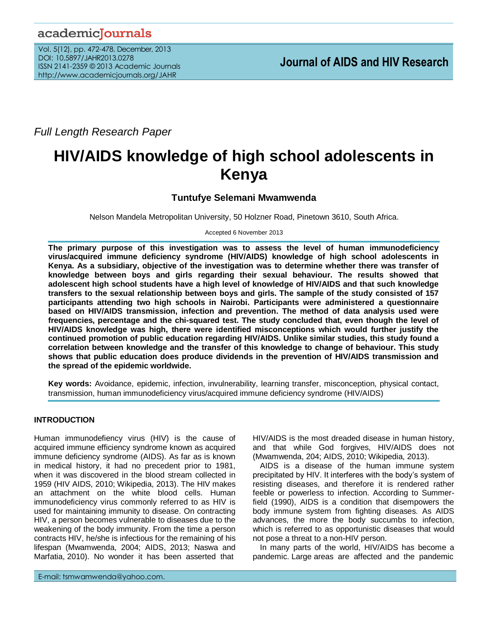# academicJournals

Vol. 5(12), pp. 472-478, December, 2013 DOI: 10.5897/JAHR2013.0278 ISSN 2141-2359 © 2013 Academic Journals [http://www.academicjournals.org/J](http://www.academicjournals.org/AJPP)AHR

*Full Length Research Paper*

# **HIV/AIDS knowledge of high school adolescents in Kenya**

# **Tuntufye Selemani Mwamwenda**

Nelson Mandela Metropolitan University, 50 Holzner Road, Pinetown 3610, South Africa.

Accepted 6 November 2013

**The primary purpose of this investigation was to assess the level of human immunodeficiency virus/acquired immune deficiency syndrome (HIV/AIDS) knowledge of high school adolescents in Kenya. As a subsidiary, objective of the investigation was to determine whether there was transfer of knowledge between boys and girls regarding their sexual behaviour. The results showed that adolescent high school students have a high level of knowledge of HIV/AIDS and that such knowledge transfers to the sexual relationship between boys and girls. The sample of the study consisted of 157 participants attending two high schools in Nairobi. Participants were administered a questionnaire based on HIV/AIDS transmission, infection and prevention. The method of data analysis used were frequencies, percentage and the chi-squared test. The study concluded that, even though the level of HIV/AIDS knowledge was high, there were identified misconceptions which would further justify the continued promotion of public education regarding HIV/AIDS. Unlike similar studies, this study found a correlation between knowledge and the transfer of this knowledge to change of behaviour. This study shows that public education does produce dividends in the prevention of HIV/AIDS transmission and the spread of the epidemic worldwide.**

**Key words:** Avoidance, epidemic, infection, invulnerability, learning transfer, misconception, physical contact, transmission, human immunodeficiency virus/acquired immune deficiency syndrome (HIV/AIDS)

# **INTRODUCTION**

Human immunodefiency virus (HIV) is the cause of acquired immune efficiency syndrome known as acquired immune deficiency syndrome (AIDS). As far as is known in medical history, it had no precedent prior to 1981, when it was discovered in the blood stream collected in 1959 (HIV AIDS, 2010; Wikipedia, 2013). The HIV makes an attachment on the white blood cells. Human immunodeficiency virus commonly referred to as HIV is used for maintaining immunity to disease. On contracting HIV, a person becomes vulnerable to diseases due to the weakening of the body immunity. From the time a person contracts HIV, he/she is infectious for the remaining of his lifespan (Mwamwenda, 2004; AIDS, 2013; Naswa and Marfatia, 2010). No wonder it has been asserted that

HIV/AIDS is the most dreaded disease in human history, and that while God forgives, HIV/AIDS does not (Mwamwenda, 204; AIDS, 2010; Wikipedia, 2013).

AIDS is a disease of the human immune system precipitated by HIV. It interferes with the body's system of resisting diseases, and therefore it is rendered rather feeble or powerless to infection. According to Summerfield (1990), AIDS is a condition that disempowers the body immune system from fighting diseases. As AIDS advances, the more the body succumbs to infection, which is referred to as opportunistic diseases that would not pose a threat to a non-HIV person.

In many parts of the world, HIV/AIDS has become a pandemic. Large areas are affected and the pandemic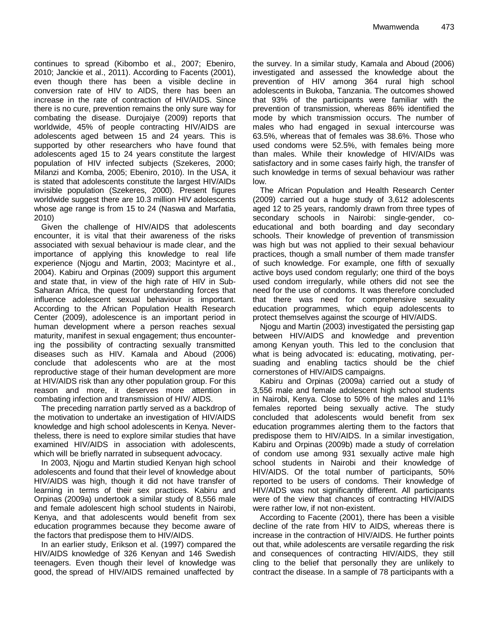continues to spread (Kibombo et al., 2007; Ebeniro, 2010; Janckie et al., 2011). According to Facents (2001), even though there has been a visible decline in conversion rate of HIV to AIDS, there has been an increase in the rate of contraction of HIV/AIDS. Since there is no cure, prevention remains the only sure way for combating the disease. Durojaiye (2009) reports that worldwide, 45% of people contracting HIV/AIDS are adolescents aged between 15 and 24 years. This is supported by other researchers who have found that adolescents aged 15 to 24 years constitute the largest population of HIV infected subjects (Szekeres, 2000; Milanzi and Komba, 2005; Ebeniro, 2010). In the USA, it is stated that adolescents constitute the largest HIV/AIDs invisible population (Szekeres, 2000). Present figures worldwide suggest there are 10.3 million HIV adolescents whose age range is from 15 to 24 (Naswa and Marfatia, 2010)

Given the challenge of HIV/AIDS that adolescents encounter, it is vital that their awareness of the risks associated with sexual behaviour is made clear, and the importance of applying this knowledge to real life experience (Njogu and Martin, 2003; Macintyre et al., 2004). Kabiru and Orpinas (2009) support this argument and state that, in view of the high rate of HIV in Sub-Saharan Africa, the quest for understanding forces that influence adolescent sexual behaviour is important. According to the African Population Health Research Center (2009), adolescence is an important period in human development where a person reaches sexual maturity, manifest in sexual engagement; thus encountering the possibility of contracting sexually transmitted diseases such as HIV. Kamala and Aboud (2006) conclude that adolescents who are at the most reproductive stage of their human development are more at HIV/AIDS risk than any other population group. For this reason and more, it deserves more attention in combating infection and transmission of HIV/ AIDS.

The preceding narration partly served as a backdrop of the motivation to undertake an investigation of HIV/AIDS knowledge and high school adolescents in Kenya. Nevertheless, there is need to explore similar studies that have examined HIV/AIDS in association with adolescents, which will be briefly narrated in subsequent advocacy.

In 2003, Njogu and Martin studied Kenyan high school adolescents and found that their level of knowledge about HIV/AIDS was high, though it did not have transfer of learning in terms of their sex practices. Kabiru and Orpinas (2009a) undertook a similar study of 8,556 male and female adolescent high school students in Nairobi, Kenya, and that adolescents would benefit from sex education programmes because they become aware of the factors that predispose them to HIV/AIDS.

In an earlier study, Erikson et al. (1997) compared the HIV/AIDS knowledge of 326 Kenyan and 146 Swedish teenagers. Even though their level of knowledge was good, the spread of HIV/AIDS remained unaffected by

the survey. In a similar study, Kamala and Aboud (2006) investigated and assessed the knowledge about the prevention of HIV among 364 rural high school adolescents in Bukoba, Tanzania. The outcomes showed that 93% of the participants were familiar with the prevention of transmission, whereas 86% identified the mode by which transmission occurs. The number of males who had engaged in sexual intercourse was 63.5%, whereas that of females was 38.6%. Those who used condoms were 52.5%, with females being more than males. While their knowledge of HIV/AIDs was satisfactory and in some cases fairly high, the transfer of such knowledge in terms of sexual behaviour was rather low.

The African Population and Health Research Center (2009) carried out a huge study of 3,612 adolescents aged 12 to 25 years, randomly drawn from three types of secondary schools in Nairobi: single-gender, coeducational and both boarding and day secondary schools. Their knowledge of prevention of transmission was high but was not applied to their sexual behaviour practices, though a small number of them made transfer of such knowledge. For example, one fifth of sexually active boys used condom regularly; one third of the boys used condom irregularly, while others did not see the need for the use of condoms. It was therefore concluded that there was need for comprehensive sexuality education programmes, which equip adolescents to protect themselves against the scourge of HIV/AIDS.

Njogu and Martin (2003) investigated the persisting gap between HIV/AIDS and knowledge and prevention among Kenyan youth. This led to the conclusion that what is being advocated is: educating, motivating, persuading and enabling tactics should be the chief cornerstones of HIV/AIDS campaigns.

Kabiru and Orpinas (2009a) carried out a study of 3,556 male and female adolescent high school students in Nairobi, Kenya. Close to 50% of the males and 11% females reported being sexually active. The study concluded that adolescents would benefit from sex education programmes alerting them to the factors that predispose them to HIV/AIDS. In a similar investigation, Kabiru and Orpinas (2009b) made a study of correlation of condom use among 931 sexually active male high school students in Nairobi and their knowledge of HIV/AIDS. Of the total number of participants, 50% reported to be users of condoms. Their knowledge of HIV/AIDS was not significantly different. All participants were of the view that chances of contracting HIV/AIDS were rather low, if not non-existent.

According to Facente (2001), there has been a visible decline of the rate from HIV to AIDS, whereas there is increase in the contraction of HIV/AIDS. He further points out that, while adolescents are versatile regarding the risk and consequences of contracting HIV/AIDS, they still cling to the belief that personally they are unlikely to contract the disease. In a sample of 78 participants with a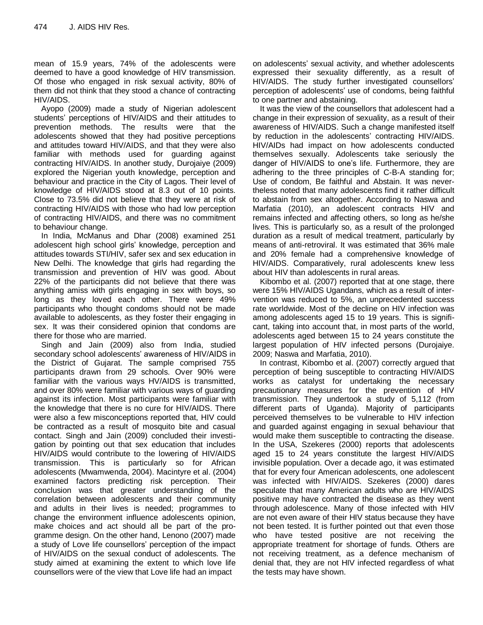mean of 15.9 years, 74% of the adolescents were deemed to have a good knowledge of HIV transmission. Of those who engaged in risk sexual activity, 80% of them did not think that they stood a chance of contracting HIV/AIDS.

Ayopo (2009) made a study of Nigerian adolescent students' perceptions of HIV/AIDS and their attitudes to prevention methods. The results were that the adolescents showed that they had positive perceptions and attitudes toward HIV/AIDS, and that they were also familiar with methods used for guarding against contracting HIV/AIDS. In another study, Durojaiye (2009) explored the Nigerian youth knowledge, perception and behaviour and practice in the City of Lagos. Their level of knowledge of HIV/AIDS stood at 8.3 out of 10 points. Close to 73.5% did not believe that they were at risk of contracting HIV/AIDS with those who had low perception of contracting HIV/AIDS, and there was no commitment to behaviour change.

In India, McManus and Dhar (2008) examined 251 adolescent high school girls' knowledge, perception and attitudes towards STI/HIV, safer sex and sex education in New Delhi. The knowledge that girls had regarding the transmission and prevention of HIV was good. About 22% of the participants did not believe that there was anything amiss with girls engaging in sex with boys, so long as they loved each other. There were 49% participants who thought condoms should not be made available to adolescents, as they foster their engaging in sex. It was their considered opinion that condoms are there for those who are married.

Singh and Jain (2009) also from India, studied secondary school adolescents' awareness of HIV/AIDS in the District of Gujarat. The sample comprised 755 participants drawn from 29 schools. Over 90% were familiar with the various ways HV/AIDS is transmitted, and over 80% were familiar with various ways of guarding against its infection. Most participants were familiar with the knowledge that there is no cure for HIV/AIDS. There were also a few misconceptions reported that, HIV could be contracted as a result of mosquito bite and casual contact. Singh and Jain (2009) concluded their investigation by pointing out that sex education that includes HIV/AIDS would contribute to the lowering of HIV/AIDS transmission. This is particularly so for African adolescents (Mwamwenda, 2004). Macintyre et al. (2004) examined factors predicting risk perception. Their conclusion was that greater understanding of the correlation between adolescents and their community and adults in their lives is needed; programmes to change the environment influence adolescents opinion, make choices and act should all be part of the programme design. On the other hand, Lenono (2007) made a study of Love life counsellors' perception of the impact of HIV/AIDS on the sexual conduct of adolescents. The study aimed at examining the extent to which love life counsellors were of the view that Love life had an impact

on adolescents' sexual activity, and whether adolescents expressed their sexuality differently, as a result of HIV/AIDS. The study further investigated counsellors' perception of adolescents' use of condoms, being faithful to one partner and abstaining.

It was the view of the counsellors that adolescent had a change in their expression of sexuality, as a result of their awareness of HIV/AIDS. Such a change manifested itself by reduction in the adolescents' contracting HIV/AIDS. HIV/AIDs had impact on how adolescents conducted themselves sexually. Adolescents take seriously the danger of HIV/AIDS to one's life. Furthermore, they are adhering to the three principles of C-B-A standing for; Use of condom, Be faithful and Abstain. It was nevertheless noted that many adolescents find it rather difficult to abstain from sex altogether. According to Naswa and Marfatia (2010), an adolescent contracts HIV and remains infected and affecting others, so long as he/she lives. This is particularly so, as a result of the prolonged duration as a result of medical treatment, particularly by means of anti-retroviral. It was estimated that 36% male and 20% female had a comprehensive knowledge of HIV/AIDS. Comparatively, rural adolescents knew less about HIV than adolescents in rural areas.

Kibombo et al. (2007) reported that at one stage, there were 15% HIV/AIDS Ugandans, which as a result of intervention was reduced to 5%, an unprecedented success rate worldwide. Most of the decline on HIV infection was among adolescents aged 15 to 19 years. This is significant, taking into account that, in most parts of the world, adolescents aged between 15 to 24 years constitute the largest population of HIV infected persons (Durojaiye. 2009; Naswa and Marfatia, 2010).

In contrast, Kibombo et al. (2007) correctly argued that perception of being susceptible to contracting HIV/AIDS works as catalyst for undertaking the necessary precautionary measures for the prevention of HIV transmission. They undertook a study of 5,112 (from different parts of Uganda). Majority of participants perceived themselves to be vulnerable to HIV infection and guarded against engaging in sexual behaviour that would make them susceptible to contracting the disease. In the USA, Szekeres (2000) reports that adolescents aged 15 to 24 years constitute the largest HIV/AIDS invisible population. Over a decade ago, it was estimated that for every four American adolescents, one adolescent was infected with HIV/AIDS. Szekeres (2000) dares speculate that many American adults who are HIV/AIDS positive may have contracted the disease as they went through adolescence. Many of those infected with HIV are not even aware of their HIV status because they have not been tested. It is further pointed out that even those who have tested positive are not receiving the appropriate treatment for shortage of funds. Others are not receiving treatment, as a defence mechanism of denial that, they are not HIV infected regardless of what the tests may have shown.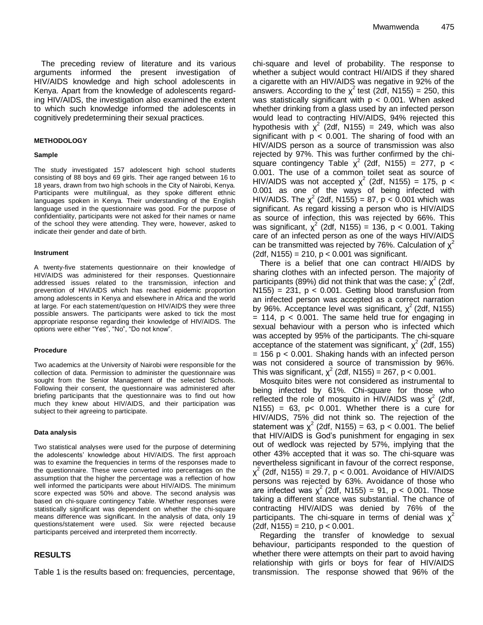The preceding review of literature and its various arguments informed the present investigation of HIV/AIDS knowledge and high school adolescents in Kenya. Apart from the knowledge of adolescents regarding HIV/AIDS, the investigation also examined the extent to which such knowledge informed the adolescents in cognitively predetermining their sexual practices.

#### **METHODOLOGY**

#### **Sample**

The study investigated 157 adolescent high school students consisting of 88 boys and 69 girls. Their age ranged between 16 to 18 years, drawn from two high schools in the City of Nairobi, Kenya. Participants were multilingual, as they spoke different ethnic languages spoken in Kenya. Their understanding of the English language used in the questionnaire was good. For the purpose of confidentiality, participants were not asked for their names or name of the school they were attending. They were, however, asked to indicate their gender and date of birth.

#### **Instrument**

A twenty-five statements questionnaire on their knowledge of HIV/AIDS was administered for their responses. Questionnaire addressed issues related to the transmission, infection and prevention of HIV/AIDS which has reached epidemic proportion among adolescents in Kenya and elsewhere in Africa and the world at large. For each statement/question on HIV/AIDS they were three possible answers. The participants were asked to tick the most appropriate response regarding their knowledge of HIV/AIDS. The options were either "Yes", "No", "Do not know".

#### **Procedure**

Two academics at the University of Nairobi were responsible for the collection of data. Permission to administer the questionnaire was sought from the Senior Management of the selected Schools. Following their consent, the questionnaire was administered after briefing participants that the questionnaire was to find out how much they knew about HIV/AIDS, and their participation was subject to their agreeing to participate.

#### **Data analysis**

Two statistical analyses were used for the purpose of determining the adolescents' knowledge about HIV/AIDS. The first approach was to examine the frequencies in terms of the responses made to the questionnaire. These were converted into percentages on the assumption that the higher the percentage was a reflection of how well informed the participants were about HIV/AIDS. The minimum score expected was 50% and above. The second analysis was based on chi-square contingency Table. Whether responses were statistically significant was dependent on whether the chi-square means difference was significant. In the analysis of data, only 19 questions/statement were used. Six were rejected because participants perceived and interpreted them incorrectly.

## **RESULTS**

Table 1 is the results based on: frequencies, percentage,

chi-square and level of probability. The response to whether a subject would contract HI/AIDS if they shared a cigarette with an HIV/AIDS was negative in 92% of the answers. According to the  $\chi^2$  test (2df, N155) = 250, this was statistically significant with  $p < 0.001$ . When asked whether drinking from a glass used by an infected person would lead to contracting HIV/AIDS, 94% rejected this hypothesis with  $\chi^2$  (2df, N155) = 249, which was also significant with  $p < 0.001$ . The sharing of food with an HIV/AIDS person as a source of transmission was also rejected by 97%. This was further confirmed by the chisquare contingency Table  $\chi^2$  (2df, N155) = 277, p < 0.001. The use of a common toilet seat as source of HIV/AIDS was not accepted  $\chi^2$  (2df, N155) = 175, p < 0.001 as one of the ways of being infected with HIV/AIDS. The  $\chi^2$  (2df, N155) = 87, p < 0.001 which was significant. As regard kissing a person who is HIV/AIDS as source of infection, this was rejected by 66%. This was significant,  $\chi^2$  (2df, N155) = 136, p < 0.001. Taking care of an infected person as one of the ways HIV/AIDS can be transmitted was rejected by 76%. Calculation of  $\chi^2$ (2df, N155) = 210, p < 0.001 was significant.

There is a belief that one can contract HI/AIDS by sharing clothes with an infected person. The majority of participants (89%) did not think that was the case;  $\chi^2$  (2df,  $N155$ ) = 231,  $p < 0.001$ . Getting blood transfusion from an infected person was accepted as a correct narration by 96%. Acceptance level was significant,  $\chi^2$  (2df, N155)  $= 114$ ,  $p < 0.001$ . The same held true for engaging in sexual behaviour with a person who is infected which was accepted by 95% of the participants. The chi-square acceptance of the statement was significant,  $\chi^2$  (2df, 155)  $= 156$  p  $< 0.001$ . Shaking hands with an infected person was not considered a source of transmission by 96%. This was significant,  $\chi^2$  (2df, N155) = 267, p < 0.001.

Mosquito bites were not considered as instrumental to being infected by 61%. Chi-square for those who reflected the role of mosquito in HIV/AIDS was  $\chi^2$  (2df,  $N155$ ) = 63, p< 0.001. Whether there is a cure for HIV/AIDS, 75% did not think so. The rejection of the statement was  $\chi^2$  (2df, N155) = 63, p < 0.001. The belief that HIV/AIDS is God's punishment for engaging in sex out of wedlock was rejected by 57%, implying that the other 43% accepted that it was so. The chi-square was nevertheless significant in favour of the correct response,  $\chi^2$  (2df, N155) = 29.7, p < 0.001. Avoidance of HIV/AIDS persons was rejected by 63%. Avoidance of those who are infected was  $\chi^2$  (2df, N155) = 91, p < 0.001. Those taking a different stance was substantial. The chance of contracting HIV/AIDS was denied by 76% of the participants. The chi-square in terms of denial was  $\chi^2$  $(2df, N155) = 210, p < 0.001$ .

Regarding the transfer of knowledge to sexual behaviour, participants responded to the question of whether there were attempts on their part to avoid having relationship with girls or boys for fear of HIV/AIDS transmission. The response showed that 96% of the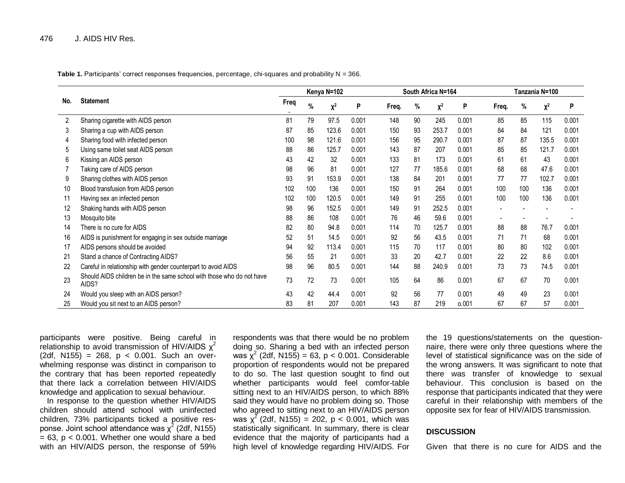**Table 1.** Participants' correct responses frequencies, percentage, chi-squares and probability N = 366.

|                | <b>Statement</b>                                                               | Kenya N=102 |     |                |       | South Africa N=164 |    |                |       | Tanzania N=100 |     |       |       |
|----------------|--------------------------------------------------------------------------------|-------------|-----|----------------|-------|--------------------|----|----------------|-------|----------------|-----|-------|-------|
| No.            |                                                                                | Frea        | %   | $\pmb{\chi}^2$ | P     | Freq.              | %  | $\mathsf{X}^2$ | P     | Freq.          | %   | $X^2$ | P     |
| $\overline{2}$ | Sharing cigarette with AIDS person                                             | 81          | 79  | 97.5           | 0.001 | 148                | 90 | 245            | 0.001 | 85             | 85  | 115   | 0.001 |
| 3              | Sharing a cup with AIDS person                                                 | 87          | 85  | 123.6          | 0.001 | 150                | 93 | 253.7          | 0.001 | 84             | 84  | 121   | 0.001 |
| 4              | Sharing food with infected person                                              | 100         | 98  | 121.6          | 0.001 | 156                | 95 | 290.7          | 0.001 | 87             | 87  | 135.5 | 0.001 |
| 5              | Using same toilet seat AIDS person                                             | 88          | 86  | 125.7          | 0.001 | 143                | 87 | 207            | 0.001 | 85             | 85  | 121.7 | 0.001 |
| 6              | Kissing an AIDS person                                                         | 43          | 42  | 32             | 0.001 | 133                | 81 | 173            | 0.001 | 61             | 61  | 43    | 0.001 |
|                | Taking care of AIDS person                                                     | 98          | 96  | 81             | 0.001 | 127                | 77 | 185.6          | 0.001 | 68             | 68  | 47.6  | 0.001 |
| 9              | Sharing clothes with AIDS person                                               | 93          | 91  | 153.9          | 0.001 | 138                | 84 | 201            | 0.001 | 77             | 77  | 102.7 | 0.001 |
| 10             | Blood transfusion from AIDS person                                             | 102         | 100 | 136            | 0.001 | 150                | 91 | 264            | 0.001 | 100            | 100 | 136   | 0.001 |
| 11             | Having sex an infected person                                                  | 102         | 100 | 120.5          | 0.001 | 149                | 91 | 255            | 0.001 | 100            | 100 | 136   | 0.001 |
| 12             | Shaking hands with AIDS person                                                 | 98          | 96  | 152.5          | 0.001 | 149                | 91 | 252.5          | 0.001 |                |     |       |       |
| 13             | Mosquito bite                                                                  | 88          | 86  | 108            | 0.001 | 76                 | 46 | 59.6           | 0.001 |                |     |       |       |
| 14             | There is no cure for AIDS                                                      | 82          | 80  | 94.8           | 0.001 | 114                | 70 | 125.7          | 0.001 | 88             | 88  | 76.7  | 0.001 |
| 16             | AIDS is punishment for engaging in sex outside marriage                        | 52          | 51  | 14.5           | 0.001 | 92                 | 56 | 43.5           | 0.001 | 71             | 71  | 68    | 0.001 |
| 17             | AIDS persons should be avoided                                                 | 94          | 92  | 113.4          | 0.001 | 115                | 70 | 117            | 0.001 | 80             | 80  | 102   | 0.001 |
| 21             | Stand a chance of Contracting AIDS?                                            | 56          | 55  | 21             | 0.001 | 33                 | 20 | 42.7           | 0.001 | 22             | 22  | 8.6   | 0.001 |
| 22             | Careful in relationship with gender counterpart to avoid AIDS                  | 98          | 96  | 80.5           | 0.001 | 144                | 88 | 240.9          | 0.001 | 73             | 73  | 74.5  | 0.001 |
| 23             | Should AIDS children be in the same school with those who do not have<br>AIDS? | 73          | 72  | 73             | 0.001 | 105                | 64 | 86             | 0.001 | 67             | 67  | 70    | 0.001 |
| 24             | Would you sleep with an AIDS person?                                           | 43          | 42  | 44.4           | 0.001 | 92                 | 56 | 77             | 0.001 | 49             | 49  | 23    | 0.001 |
| 25             | Would you sit next to an AIDS person?                                          | 83          | 81  | 207            | 0.001 | 143                | 87 | 219            | 0.001 | 67             | 67  | 57    | 0.001 |

participants were positive. Being careful in relationship to avoid transmission of HIV/AIDS  $x^2$ (2df, N155) = 268,  $p$  < 0.001. Such an overwhelming response was distinct in comparison to the contrary that has been reported repeatedly that there lack a correlation between HIV/AIDS knowledge and application to sexual behaviour.

In response to the question whether HIV/AIDS children should attend school with uninfected children, 73% participants ticked a positive response. Joint school attendance was  $\chi^2$  (2df, N155)  $= 63$ ,  $p < 0.001$ . Whether one would share a bed with an HIV/AIDS person, the response of 59%

respondents was that there would be no problem doing so. Sharing a bed with an infected person was  $\chi^2$  (2df, N155) = 63, p < 0.001. Considerable proportion of respondents would not be prepared to do so. The last question sought to find out whether participants would feel comfor-table sitting next to an HIV/AIDS person, to which 88% said they would have no problem doing so. Those who agreed to sitting next to an HIV/AIDS person was  $\chi^2$  (2df, N155) = 202, p < 0.001, which was statistically significant. In summary, there is clear evidence that the majority of participants had a high level of knowledge regarding HIV/AIDS. For

the 19 questions/statements on the questionnaire, there were only three questions where the level of statistical significance was on the side of the wrong answers. It was significant to note that there was transfer of knowledge to sexual behaviour. This conclusion is based on the response that participants indicated that they were careful in their relationship with members of the opposite sex for fear of HIV/AIDS transmission.

## **DISCUSSION**

Given that there is no cure for AIDS and the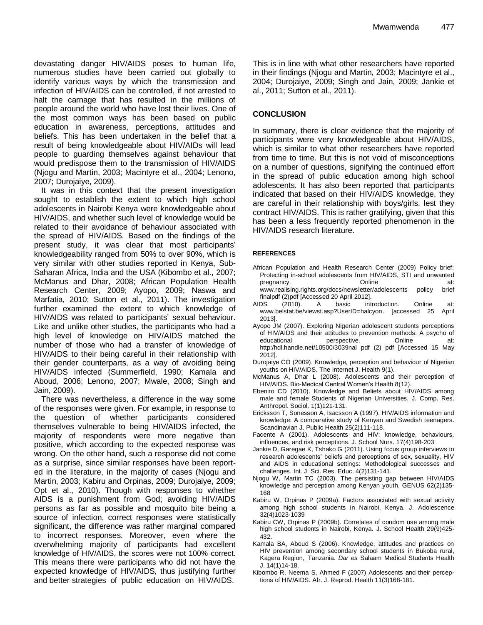devastating danger HIV/AIDS poses to human life, numerous studies have been carried out globally to identify various ways by which the transmission and infection of HIV/AIDS can be controlled, if not arrested to halt the carnage that has resulted in the millions of people around the world who have lost their lives. One of the most common ways has been based on public education in awareness, perceptions, attitudes and beliefs. This has been undertaken in the belief that a result of being knowledgeable about HIV/AIDs will lead people to guarding themselves against behaviour that would predispose them to the transmission of HIV/AIDS (Njogu and Martin, 2003; Macintyre et al., 2004; Lenono, 2007; Durojaiye, 2009).

It was in this context that the present investigation sought to establish the extent to which high school adolescents in Nairobi Kenya were knowledgeable about HIV/AIDS, and whether such level of knowledge would be related to their avoidance of behaviour associated with the spread of HIV/AIDS. Based on the findings of the present study, it was clear that most participants' knowledgeability ranged from 50% to over 90%, which is very similar with other studies reported in Kenya, Sub-Saharan Africa, India and the USA (Kibombo et al., 2007; McManus and Dhar, 2008; African Population Health Research Center, 2009; Ayopo, 2009; Naswa and Marfatia, 2010; Sutton et al., 2011). The investigation further examined the extent to which knowledge of HIV/AIDS was related to participants' sexual behaviour. Like and unlike other studies, the participants who had a high level of knowledge on HIV/AIDS matched the number of those who had a transfer of knowledge of HIV/AIDS to their being careful in their relationship with their gender counterparts, as a way of avoiding being HIV/AIDS infected (Summerfield, 1990; Kamala and Aboud, 2006; Lenono, 2007; Mwale, 2008; Singh and Jain, 2009).

There was nevertheless, a difference in the way some of the responses were given. For example, in response to the question of whether participants considered themselves vulnerable to being HIV/AIDS infected, the majority of respondents were more negative than positive, which according to the expected response was wrong. On the other hand, such a response did not come as a surprise, since similar responses have been reported in the literature, in the majority of cases (Njogu and Martin, 2003; Kabiru and Orpinas, 2009; Durojaiye, 2009; Opt et al., 2010). Though with responses to whether AIDS is a punishment from God; avoiding HIV/AIDS persons as far as possible and mosquito bite being a source of infection, correct responses were statistically significant, the difference was rather marginal compared to incorrect responses. Moreover, even where the overwhelming majority of participants had excellent knowledge of HIV/AIDS, the scores were not 100% correct. This means there were participants who did not have the expected knowledge of HIV/AIDS, thus justifying further and better strategies of public education on HIV/AIDS.

This is in line with what other researchers have reported in their findings (Njogu and Martin, 2003; Macintyre et al., 2004; Durojaiye, 2009; Singh and Jain, 2009; Jankie et al., 2011; Sutton et al., 2011).

# **CONCLUSION**

In summary, there is clear evidence that the majority of participants were very knowledgeable about HIV/AIDS, which is similar to what other researchers have reported from time to time. But this is not void of misconceptions on a number of questions, signifying the continued effort in the spread of public education among high school adolescents. It has also been reported that participants indicated that based on their HIV/AIDS knowledge, they are careful in their relationship with boys/girls, lest they contract HIV/AIDS. This is rather gratifying, given that this has been a less frequently reported phenomenon in the HIV/AIDS research literature.

### **REFERENCES**

- African Population and Health Research Center (2009) Policy brief: Protecting in-school adolescents from HIV/AIDS, STI and unwanted pregnancy. Conline at: [www.realising.rights.org/docs/newsletter/adolescents](http://www.realising.rights.org/docs/newsletter/adolescents) policy brief finalpdf (2)pdf [Accessed 20 April 2012].
- AIDS (2010). A basic introduction. Online at: [www.belstat.be/viewst.asp?UserID=halcyon.](http://www.belstat.be/viewst.asp?UserID=halcyon) [accessed 25 April 2013].
- Ayopo JM (2007). Exploring Nigerian adolescent students perceptions of HIV/AIDS and their attitudes to prevention methods: A psycho of educational perspective. Online at: http:/hdl.handle.net/10500/3039nal pdf (2) pdf [Accessed 15 May 2012].
- Durojaiye CO (2009). Knowledge, perception and behaviour of Nigerian youths on HIV/AIDS. The Internet J. Health 9(1).
- McManus A, Dhar L (2008). Adolescents and their perception of HIV/AIDS. Bio-Medical Central Women's Health 8(12).
- Ebeniro CD (2010). Knowledge and Beliefs about HIV/AIDS among male and female Students of Nigerian Universities. J. Comp. Res. Anthropol. Sociol. 1(1)121-131.
- Ericksson T, Sonesson A, Isacsson A (1997). HIV/AIDS information and knowledge: A comparative study of Kenyan and Swedish teenagers. Scandinavian J. Public Health 25(2)111-118.
- Facente A (2001). Adolescents and HIV: knowledge, behaviours, influences, and risk perceptions. J. School Nurs. 17(4)198-203
- Jankie D, Garegae K, Tshako G (2011). Using focus group interviews to research adolescents' beliefs and perceptions of sex, sexuality, HIV and AIDS in educational settings: Methodological successes and challenges. Int. J. Sci. Res. Educ. 4(2)131-141.
- Njogu W, Martin TC (2003). The persisting gap between HIV/AIDS knowledge and perception among Kenyan youth. GENUS 62(2)135- 168
- Kabiru W, Orpinas P (2009a). Factors associated with sexual activity among high school students in Nairobi, Kenya. J. Adolescence 32(4)1023-1039
- Kabiru CW, Orpinas P (2009b). Correlates of condom use among male high school students in Nairobi, Kenya*.* J. School Health 29(9)425- 432.
- Kamala BA, Aboud S (2006). Knowledge, attitudes and practices on HIV prevention among secondary school students in Bukoba rural, Kagera Region,\_Tanzania. *Dar es* Salaam Medical Students Health J. 14(1)14-18.
- Kibombo R, Neema S, Ahmed F (2007) Adolescents and their perceptions of HIV/AIDS. Afr. J. Reprod. Health 11(3)168-181.